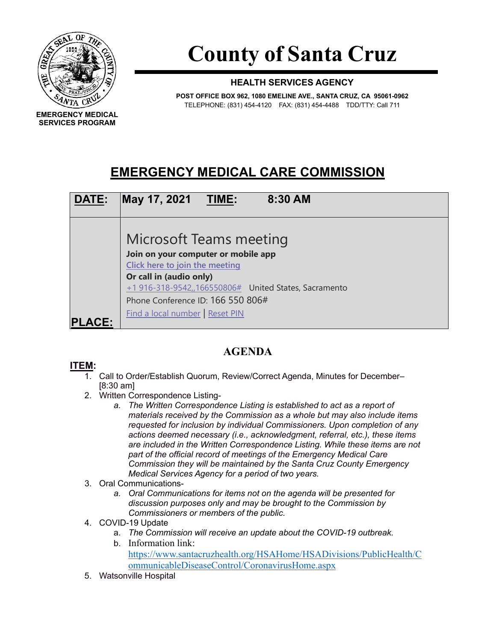

**SERVICES PROGRAM**

**County of Santa Cruz**

## **HEALTH SERVICES AGENCY**

**POST OFFICE BOX 962, 1080 EMELINE AVE., SANTA CRUZ, CA 95061-0962** TELEPHONE: (831) 454-4120 FAX: (831) 454-4488 TDD/TTY: Call 711

## **EMERGENCY MEDICAL CARE COMMISSION**



## **AGENDA**

## **ITEM:**

- 1. Call to Order/Establish Quorum, Review/Correct Agenda, Minutes for December– [8:30 am]
- 2. Written Correspondence Listing
	- *a. The Written Correspondence Listing is established to act as a report of materials received by the Commission as a whole but may also include items requested for inclusion by individual Commissioners. Upon completion of any actions deemed necessary (i.e., acknowledgment, referral, etc.), these items are included in the Written Correspondence Listing. While these items are not part of the official record of meetings of the Emergency Medical Care Commission they will be maintained by the Santa Cruz County Emergency Medical Services Agency for a period of two years.*
- 3. Oral Communications
	- *a. Oral Communications for items not on the agenda will be presented for discussion purposes only and may be brought to the Commission by Commissioners or members of the public.*
- 4. COVID-19 Update
	- a. *The Commission will receive an update about the COVID-19 outbreak.*
		- b. Information link: [https://www.santacruzhealth.org/HSAHome/HSADivisions/PublicHealth/C](https://www.santacruzhealth.org/HSAHome/HSADivisions/PublicHealth/CommunicableDiseaseControl/CoronavirusHome.aspx) [ommunicableDiseaseControl/CoronavirusHome.aspx](https://www.santacruzhealth.org/HSAHome/HSADivisions/PublicHealth/CommunicableDiseaseControl/CoronavirusHome.aspx)
- 5. Watsonville Hospital